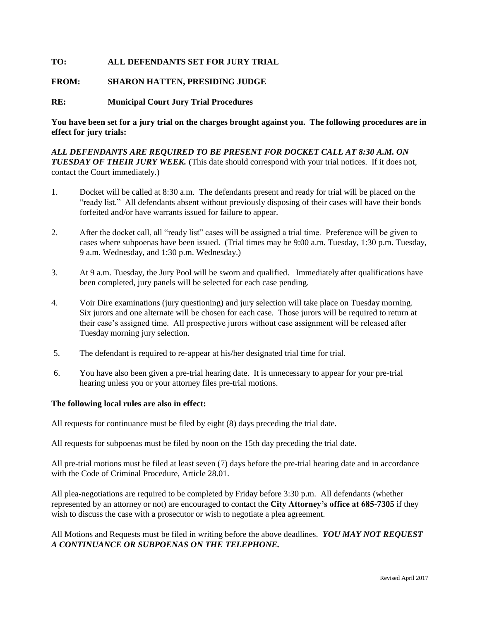## **TO: ALL DEFENDANTS SET FOR JURY TRIAL**

## **FROM: SHARON HATTEN, PRESIDING JUDGE**

## **RE: Municipal Court Jury Trial Procedures**

**You have been set for a jury trial on the charges brought against you. The following procedures are in effect for jury trials:**

*ALL DEFENDANTS ARE REQUIRED TO BE PRESENT FOR DOCKET CALL AT 8:30 A.M. ON TUESDAY OF THEIR JURY WEEK.* (This date should correspond with your trial notices. If it does not, contact the Court immediately.)

- 1. Docket will be called at 8:30 a.m. The defendants present and ready for trial will be placed on the "ready list." All defendants absent without previously disposing of their cases will have their bonds forfeited and/or have warrants issued for failure to appear.
- 2. After the docket call, all "ready list" cases will be assigned a trial time. Preference will be given to cases where subpoenas have been issued. (Trial times may be 9:00 a.m. Tuesday, 1:30 p.m. Tuesday, 9 a.m. Wednesday, and 1:30 p.m. Wednesday.)
- 3. At 9 a.m. Tuesday, the Jury Pool will be sworn and qualified. Immediately after qualifications have been completed, jury panels will be selected for each case pending.
- 4. Voir Dire examinations (jury questioning) and jury selection will take place on Tuesday morning. Six jurors and one alternate will be chosen for each case. Those jurors will be required to return at their case's assigned time. All prospective jurors without case assignment will be released after Tuesday morning jury selection.
- 5. The defendant is required to re-appear at his/her designated trial time for trial.
- 6. You have also been given a pre-trial hearing date. It is unnecessary to appear for your pre-trial hearing unless you or your attorney files pre-trial motions.

## **The following local rules are also in effect:**

All requests for continuance must be filed by eight (8) days preceding the trial date.

All requests for subpoenas must be filed by noon on the 15th day preceding the trial date.

All pre-trial motions must be filed at least seven (7) days before the pre-trial hearing date and in accordance with the Code of Criminal Procedure, Article 28.01.

All plea-negotiations are required to be completed by Friday before 3:30 p.m. All defendants (whether represented by an attorney or not) are encouraged to contact the **City Attorney's office at 685-7305** if they wish to discuss the case with a prosecutor or wish to negotiate a plea agreement.

All Motions and Requests must be filed in writing before the above deadlines. *YOU MAY NOT REQUEST A CONTINUANCE OR SUBPOENAS ON THE TELEPHONE.*